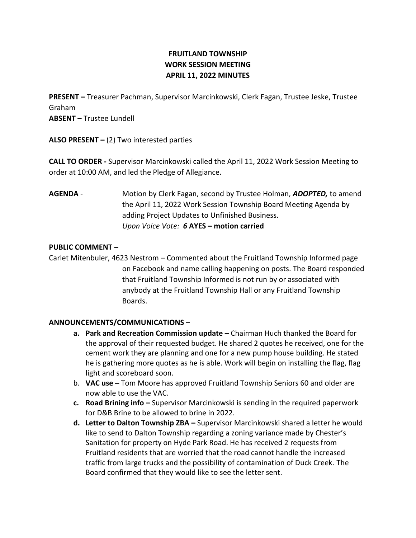# **FRUITLAND TOWNSHIP WORK SESSION MEETING APRIL 11, 2022 MINUTES**

**PRESENT –** Treasurer Pachman, Supervisor Marcinkowski, Clerk Fagan, Trustee Jeske, Trustee Graham

**ABSENT –** Trustee Lundell

**ALSO PRESENT –** (2) Two interested parties

**CALL TO ORDER -** Supervisor Marcinkowski called the April 11, 2022 Work Session Meeting to order at 10:00 AM, and led the Pledge of Allegiance.

**AGENDA** - Motion by Clerk Fagan, second by Trustee Holman, *ADOPTED,* to amend the April 11, 2022 Work Session Township Board Meeting Agenda by adding Project Updates to Unfinished Business. *Upon Voice Vote: 6* **AYES – motion carried**

# **PUBLIC COMMENT –**

Carlet Mitenbuler, 4623 Nestrom – Commented about the Fruitland Township Informed page on Facebook and name calling happening on posts. The Board responded that Fruitland Township Informed is not run by or associated with anybody at the Fruitland Township Hall or any Fruitland Township Boards.

# **ANNOUNCEMENTS/COMMUNICATIONS –**

- **a. Park and Recreation Commission update –** Chairman Huch thanked the Board for the approval of their requested budget. He shared 2 quotes he received, one for the cement work they are planning and one for a new pump house building. He stated he is gathering more quotes as he is able. Work will begin on installing the flag, flag light and scoreboard soon.
- b. **VAC use –** Tom Moore has approved Fruitland Township Seniors 60 and older are now able to use the VAC.
- **c. Road Brining info –** Supervisor Marcinkowski is sending in the required paperwork for D&B Brine to be allowed to brine in 2022.
- **d. Letter to Dalton Township ZBA –** Supervisor Marcinkowski shared a letter he would like to send to Dalton Township regarding a zoning variance made by Chester's Sanitation for property on Hyde Park Road. He has received 2 requests from Fruitland residents that are worried that the road cannot handle the increased traffic from large trucks and the possibility of contamination of Duck Creek. The Board confirmed that they would like to see the letter sent.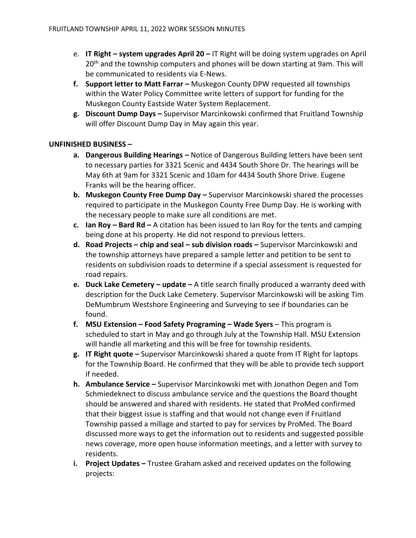- e. **IT Right – system upgrades April 20 –** IT Right will be doing system upgrades on April 20<sup>th</sup> and the township computers and phones will be down starting at 9am. This will be communicated to residents via E-News.
- **f. Support letter to Matt Farrar –** Muskegon County DPW requested all townships within the Water Policy Committee write letters of support for funding for the Muskegon County Eastside Water System Replacement.
- **g. Discount Dump Days –** Supervisor Marcinkowski confirmed that Fruitland Township will offer Discount Dump Day in May again this year.

### **UNFINISHED BUSINESS –**

- **a. Dangerous Building Hearings –** Notice of Dangerous Building letters have been sent to necessary parties for 3321 Scenic and 4434 South Shore Dr. The hearings will be May 6th at 9am for 3321 Scenic and 10am for 4434 South Shore Drive. Eugene Franks will be the hearing officer.
- **b. Muskegon County Free Dump Day –** Supervisor Marcinkowski shared the processes required to participate in the Muskegon County Free Dump Day. He is working with the necessary people to make sure all conditions are met.
- **c. Ian Roy – Bard Rd –** A citation has been issued to Ian Roy for the tents and camping being done at his property. He did not respond to previous letters.
- **d. Road Projects – chip and seal – sub division roads –** Supervisor Marcinkowski and the township attorneys have prepared a sample letter and petition to be sent to residents on subdivision roads to determine if a special assessment is requested for road repairs.
- **e. Duck Lake Cemetery – update –** A title search finally produced a warranty deed with description for the Duck Lake Cemetery. Supervisor Marcinkowski will be asking Tim DeMumbrum Westshore Engineering and Surveying to see if boundaries can be found.
- **f. MSU Extension – Food Safety Programing – Wade Syers**  This program is scheduled to start in May and go through July at the Township Hall. MSU Extension will handle all marketing and this will be free for township residents.
- **g. IT Right quote –** Supervisor Marcinkowski shared a quote from IT Right for laptops for the Township Board. He confirmed that they will be able to provide tech support if needed.
- **h. Ambulance Service –** Supervisor Marcinkowski met with Jonathon Degen and Tom Schmiedeknect to discuss ambulance service and the questions the Board thought should be answered and shared with residents. He stated that ProMed confirmed that their biggest issue is staffing and that would not change even if Fruitland Township passed a millage and started to pay for services by ProMed. The Board discussed more ways to get the information out to residents and suggested possible news coverage, more open house information meetings, and a letter with survey to residents.
- **i.** Project Updates Trustee Graham asked and received updates on the following projects: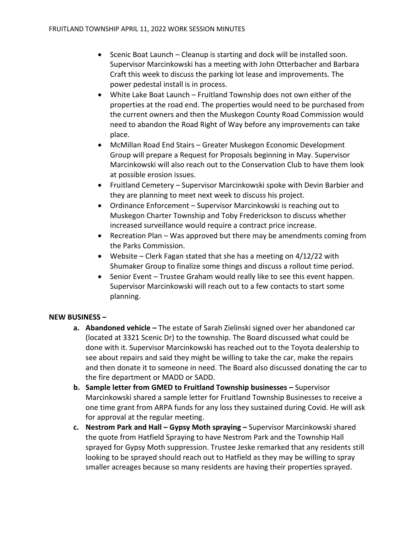- Scenic Boat Launch Cleanup is starting and dock will be installed soon. Supervisor Marcinkowski has a meeting with John Otterbacher and Barbara Craft this week to discuss the parking lot lease and improvements. The power pedestal install is in process.
- White Lake Boat Launch Fruitland Township does not own either of the properties at the road end. The properties would need to be purchased from the current owners and then the Muskegon County Road Commission would need to abandon the Road Right of Way before any improvements can take place.
- McMillan Road End Stairs Greater Muskegon Economic Development Group will prepare a Request for Proposals beginning in May. Supervisor Marcinkowski will also reach out to the Conservation Club to have them look at possible erosion issues.
- Fruitland Cemetery Supervisor Marcinkowski spoke with Devin Barbier and they are planning to meet next week to discuss his project.
- Ordinance Enforcement Supervisor Marcinkowski is reaching out to Muskegon Charter Township and Toby Frederickson to discuss whether increased surveillance would require a contract price increase.
- Recreation Plan Was approved but there may be amendments coming from the Parks Commission.
- Website Clerk Fagan stated that she has a meeting on 4/12/22 with Shumaker Group to finalize some things and discuss a rollout time period.
- Senior Event Trustee Graham would really like to see this event happen. Supervisor Marcinkowski will reach out to a few contacts to start some planning.

# **NEW BUSINESS –**

- **a. Abandoned vehicle –** The estate of Sarah Zielinski signed over her abandoned car (located at 3321 Scenic Dr) to the township. The Board discussed what could be done with it. Supervisor Marcinkowski has reached out to the Toyota dealership to see about repairs and said they might be willing to take the car, make the repairs and then donate it to someone in need. The Board also discussed donating the car to the fire department or MADD or SADD.
- **b. Sample letter from GMED to Fruitland Township businesses –** Supervisor Marcinkowski shared a sample letter for Fruitland Township Businesses to receive a one time grant from ARPA funds for any loss they sustained during Covid. He will ask for approval at the regular meeting.
- **c. Nestrom Park and Hall – Gypsy Moth spraying –** Supervisor Marcinkowski shared the quote from Hatfield Spraying to have Nestrom Park and the Township Hall sprayed for Gypsy Moth suppression. Trustee Jeske remarked that any residents still looking to be sprayed should reach out to Hatfield as they may be willing to spray smaller acreages because so many residents are having their properties sprayed.